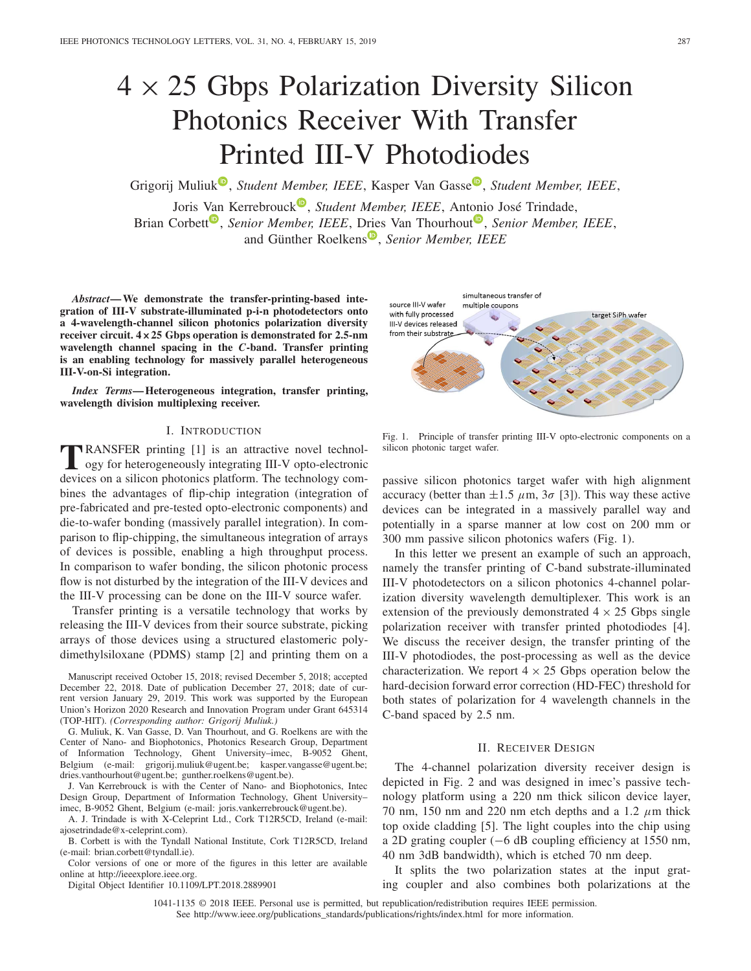# $4 \times 25$  Gbps Polarization Diversity Silicon Photonics Receiver With Transfer Printed III-V Photodiodes

Grigorij Muliuk<sup><sup>®</sup>, *Student Member, IEEE*, Kasper Van Gasse<sup>®</sup>, *Student Member, IEEE*,</sup>

Joris [Van](https://orcid.org/0000-0002-9002-8212) Kerrebrouck<sup>®</sup>, *Student Member, IEEE*, Ant[on](https://orcid.org/0000-0003-0111-431X)io José Trindade, Brian Corbett<sup>®</sup>, *Senior Member, IEEE*, [Drie](https://orcid.org/0000-0002-4667-5092)s Van Thourhout<sup>®</sup>, *Senior Member, IEEE*, and Günther Roelkens<sup>®</sup>, *Senior Member, IEEE* 

*Abstract***— We demonstrate the transfer-printing-based integration of III-V substrate-illuminated p-i-n photodetectors onto a 4-wavelength-channel silicon photonics polarization diversity receiver circuit. 4×25 Gbps operation is demonstrated for 2.5-nm wavelength channel spacing in the** *C***-band. Transfer printing is an enabling technology for massively parallel heterogeneous III-V-on-Si integration.**

*Index Terms***— Heterogeneous integration, transfer printing, wavelength division multiplexing receiver.**

# I. INTRODUCTION

**TRANSFER** printing [1] is an attractive novel technology for heterogeneously integrating III-V opto-electronic devices on a silicon photonics platform. The technology combines the advantages of flip-chip integration (integration of pre-fabricated and pre-tested opto-electronic components) and die-to-wafer bonding (massively parallel integration). In comparison to flip-chipping, the simultaneous integration of arrays of devices is possible, enabling a high throughput process. In comparison to wafer bonding, the silicon photonic process flow is not disturbed by the integration of the III-V devices and the III-V processing can be done on the III-V source wafer.

Transfer printing is a versatile technology that works by releasing the III-V devices from their source substrate, picking arrays of those devices using a structured elastomeric polydimethylsiloxane (PDMS) stamp [2] and printing them on a

Manuscript received October 15, 2018; revised December 5, 2018; accepted December 22, 2018. Date of publication December 27, 2018; date of current version January 29, 2019. This work was supported by the European Union's Horizon 2020 Research and Innovation Program under Grant 645314 (TOP-HIT). *(Corresponding author: Grigorij Muliuk.)*

G. Muliuk, K. Van Gasse, D. Van Thourhout, and G. Roelkens are with the Center of Nano- and Biophotonics, Photonics Research Group, Department of Information Technology, Ghent University–imec, B-9052 Ghent, Belgium (e-mail: grigorij.muliuk@ugent.be; kasper.vangasse@ugent.be; dries.vanthourhout@ugent.be; gunther.roelkens@ugent.be).

J. Van Kerrebrouck is with the Center of Nano- and Biophotonics, Intec Design Group, Department of Information Technology, Ghent University– imec, B-9052 Ghent, Belgium (e-mail: joris.vankerrebrouck@ugent.be).

A. J. Trindade is with X-Celeprint Ltd., Cork T12R5CD, Ireland (e-mail: ajosetrindade@x-celeprint.com).

B. Corbett is with the Tyndall National Institute, Cork T12R5CD, Ireland (e-mail: brian.corbett@tyndall.ie).

Color versions of one or more of the figures in this letter are available online at http://ieeexplore.ieee.org.

Digital Object Identifier 10.1109/LPT.2018.2889901

source III-V wafer multiple coupons with fully processed target SiPh wafer III-V devices released from their substrate

simultaneous transfer of

Fig. 1. Principle of transfer printing III-V opto-electronic components on a silicon photonic target wafer.

passive silicon photonics target wafer with high alignment accuracy (better than  $\pm 1.5 \mu$ m,  $3\sigma$  [3]). This way these active devices can be integrated in a massively parallel way and potentially in a sparse manner at low cost on 200 mm or 300 mm passive silicon photonics wafers (Fig. 1).

In this letter we present an example of such an approach, namely the transfer printing of C-band substrate-illuminated III-V photodetectors on a silicon photonics 4-channel polarization diversity wavelength demultiplexer. This work is an extension of the previously demonstrated  $4 \times 25$  Gbps single polarization receiver with transfer printed photodiodes [4]. We discuss the receiver design, the transfer printing of the III-V photodiodes, the post-processing as well as the device characterization. We report  $4 \times 25$  Gbps operation below the hard-decision forward error correction (HD-FEC) threshold for both states of polarization for 4 wavelength channels in the C-band spaced by 2.5 nm.

# II. RECEIVER DESIGN

The 4-channel polarization diversity receiver design is depicted in Fig. 2 and was designed in imec's passive technology platform using a 220 nm thick silicon device layer, 70 nm, 150 nm and 220 nm etch depths and a 1.2  $\mu$ m thick top oxide cladding [5]. The light couples into the chip using a 2D grating coupler (−6 dB coupling efficiency at 1550 nm, 40 nm 3dB bandwidth), which is etched 70 nm deep.

It splits the two polarization states at the input grating coupler and also combines both polarizations at the

1041-1135 © 2018 IEEE. Personal use is permitted, but republication/redistribution requires IEEE permission. See http://www.ieee.org/publications\_standards/publications/rights/index.html for more information.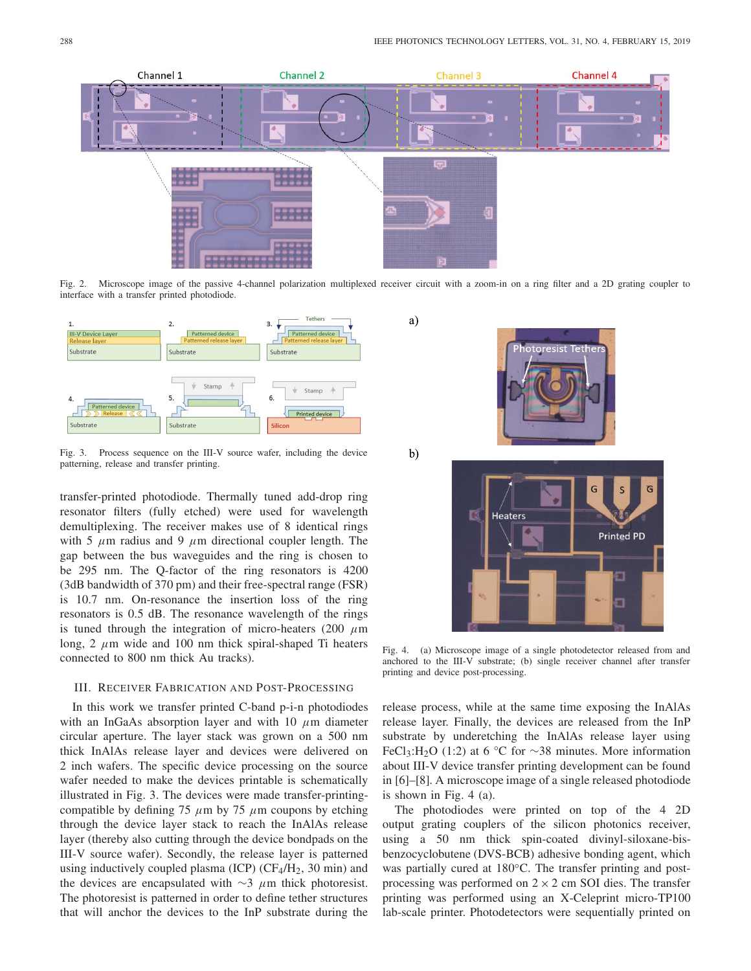

Fig. 2. Microscope image of the passive 4-channel polarization multiplexed receiver circuit with a zoom-in on a ring filter and a 2D grating coupler to interface with a transfer printed photodiode.

a)

 $\mathbf{b}$ 



Fig. 3. Process sequence on the III-V source wafer, including the device patterning, release and transfer printing.

transfer-printed photodiode. Thermally tuned add-drop ring resonator filters (fully etched) were used for wavelength demultiplexing. The receiver makes use of 8 identical rings with 5  $\mu$ m radius and 9  $\mu$ m directional coupler length. The gap between the bus waveguides and the ring is chosen to be 295 nm. The Q-factor of the ring resonators is 4200 (3dB bandwidth of 370 pm) and their free-spectral range (FSR) is 10.7 nm. On-resonance the insertion loss of the ring resonators is 0.5 dB. The resonance wavelength of the rings is tuned through the integration of micro-heaters (200  $\mu$ m long, 2  $\mu$ m wide and 100 nm thick spiral-shaped Ti heaters connected to 800 nm thick Au tracks).

# III. RECEIVER FABRICATION AND POST-PROCESSING

In this work we transfer printed C-band p-i-n photodiodes with an InGaAs absorption layer and with 10  $\mu$ m diameter circular aperture. The layer stack was grown on a 500 nm thick InAlAs release layer and devices were delivered on 2 inch wafers. The specific device processing on the source wafer needed to make the devices printable is schematically illustrated in Fig. 3. The devices were made transfer-printingcompatible by defining 75  $\mu$ m by 75  $\mu$ m coupons by etching through the device layer stack to reach the InAlAs release layer (thereby also cutting through the device bondpads on the III-V source wafer). Secondly, the release layer is patterned using inductively coupled plasma (ICP) ( $CF_4/H_2$ , 30 min) and the devices are encapsulated with  $\sim$ 3  $\mu$ m thick photoresist. The photoresist is patterned in order to define tether structures that will anchor the devices to the InP substrate during the



Fig. 4. (a) Microscope image of a single photodetector released from and anchored to the III-V substrate; (b) single receiver channel after transfer printing and device post-processing.

release process, while at the same time exposing the InAlAs release layer. Finally, the devices are released from the InP substrate by underetching the InAlAs release layer using FeCl3:H2O (1:2) at 6 °C for ∼38 minutes. More information about III-V device transfer printing development can be found in [6]–[8]. A microscope image of a single released photodiode is shown in Fig. 4 (a).

The photodiodes were printed on top of the 4 2D output grating couplers of the silicon photonics receiver, using a 50 nm thick spin-coated divinyl-siloxane-bisbenzocyclobutene (DVS-BCB) adhesive bonding agent, which was partially cured at 180°C. The transfer printing and postprocessing was performed on  $2 \times 2$  cm SOI dies. The transfer printing was performed using an X-Celeprint micro-TP100 lab-scale printer. Photodetectors were sequentially printed on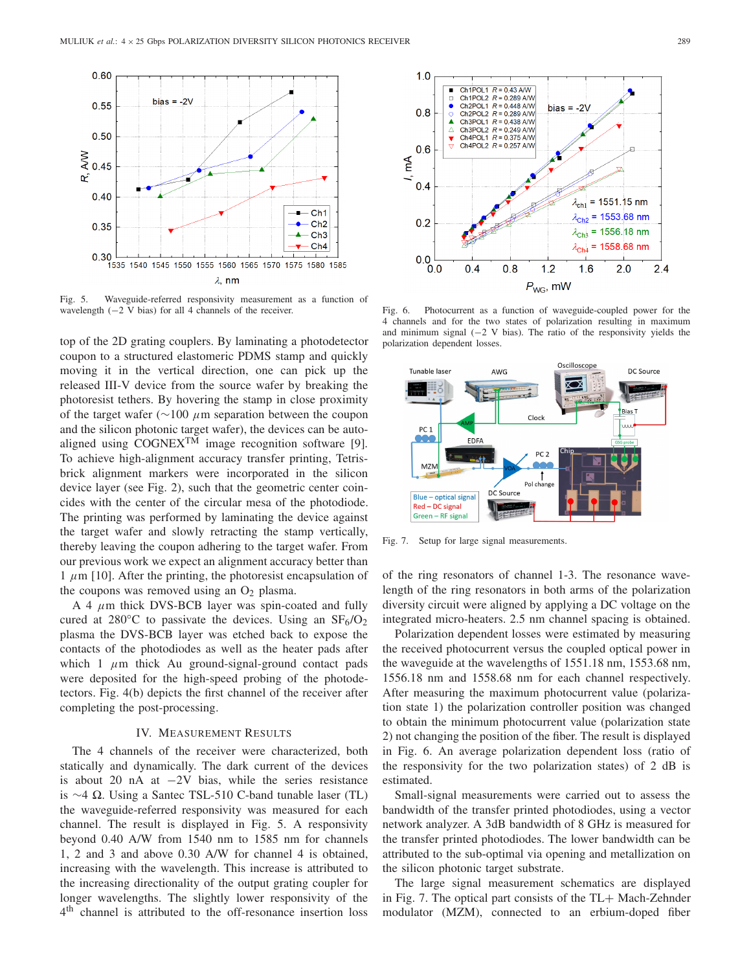

Fig. 5. Waveguide-referred responsivity measurement as a function of wavelength (−2 V bias) for all 4 channels of the receiver.

top of the 2D grating couplers. By laminating a photodetector coupon to a structured elastomeric PDMS stamp and quickly moving it in the vertical direction, one can pick up the released III-V device from the source wafer by breaking the photoresist tethers. By hovering the stamp in close proximity of the target wafer ( $\sim$ 100  $\mu$ m separation between the coupon and the silicon photonic target wafer), the devices can be autoaligned using  $COGNEX^{TM}$  image recognition software [9]. To achieve high-alignment accuracy transfer printing, Tetrisbrick alignment markers were incorporated in the silicon device layer (see Fig. 2), such that the geometric center coincides with the center of the circular mesa of the photodiode. The printing was performed by laminating the device against the target wafer and slowly retracting the stamp vertically, thereby leaving the coupon adhering to the target wafer. From our previous work we expect an alignment accuracy better than 1  $\mu$ m [10]. After the printing, the photoresist encapsulation of the coupons was removed using an  $O_2$  plasma.

A 4  $\mu$ m thick DVS-BCB layer was spin-coated and fully cured at 280 $\degree$ C to passivate the devices. Using an SF $_6$ /O<sub>2</sub> plasma the DVS-BCB layer was etched back to expose the contacts of the photodiodes as well as the heater pads after which 1  $\mu$ m thick Au ground-signal-ground contact pads were deposited for the high-speed probing of the photodetectors. Fig. 4(b) depicts the first channel of the receiver after completing the post-processing.

## IV. MEASUREMENT RESULTS

The 4 channels of the receiver were characterized, both statically and dynamically. The dark current of the devices is about 20 nA at −2V bias, while the series resistance is  $\sim$ 4 Ω. Using a Santec TSL-510 C-band tunable laser (TL) the waveguide-referred responsivity was measured for each channel. The result is displayed in Fig. 5. A responsivity beyond 0.40 A/W from 1540 nm to 1585 nm for channels 1, 2 and 3 and above 0.30 A/W for channel 4 is obtained, increasing with the wavelength. This increase is attributed to the increasing directionality of the output grating coupler for longer wavelengths. The slightly lower responsivity of the 4<sup>th</sup> channel is attributed to the off-resonance insertion loss



Fig. 6. Photocurrent as a function of waveguide-coupled power for the 4 channels and for the two states of polarization resulting in maximum and minimum signal  $(-2 V)$  bias). The ratio of the responsivity yields the polarization dependent losses.



Fig. 7. Setup for large signal measurements.

of the ring resonators of channel 1-3. The resonance wavelength of the ring resonators in both arms of the polarization diversity circuit were aligned by applying a DC voltage on the integrated micro-heaters. 2.5 nm channel spacing is obtained.

Polarization dependent losses were estimated by measuring the received photocurrent versus the coupled optical power in the waveguide at the wavelengths of 1551.18 nm, 1553.68 nm, 1556.18 nm and 1558.68 nm for each channel respectively. After measuring the maximum photocurrent value (polarization state 1) the polarization controller position was changed to obtain the minimum photocurrent value (polarization state 2) not changing the position of the fiber. The result is displayed in Fig. 6. An average polarization dependent loss (ratio of the responsivity for the two polarization states) of 2 dB is estimated.

Small-signal measurements were carried out to assess the bandwidth of the transfer printed photodiodes, using a vector network analyzer. A 3dB bandwidth of 8 GHz is measured for the transfer printed photodiodes. The lower bandwidth can be attributed to the sub-optimal via opening and metallization on the silicon photonic target substrate.

The large signal measurement schematics are displayed in Fig. 7. The optical part consists of the TL+ Mach-Zehnder modulator (MZM), connected to an erbium-doped fiber